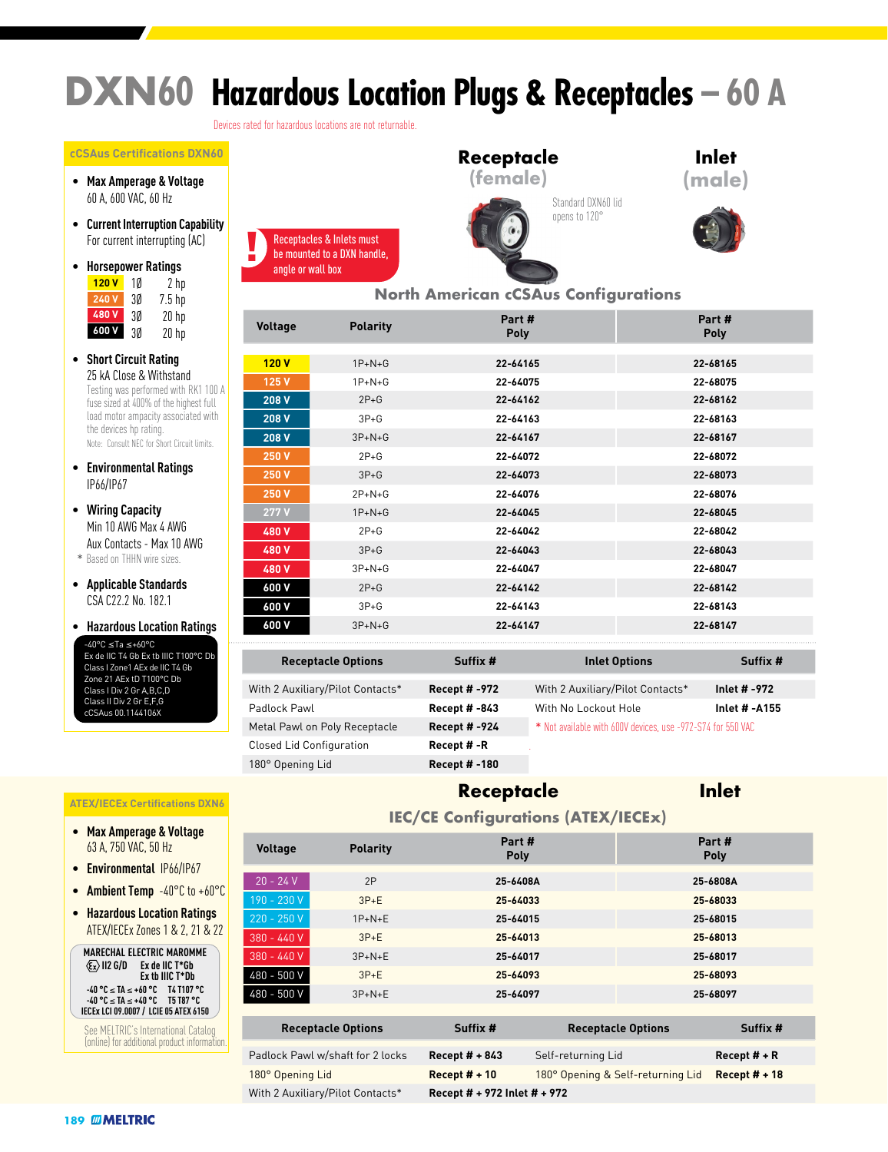# **DXN60 Hazardous Location Plugs & Receptacles – 60 A**

Devices rated for hazardous locations are not returnable.

Receptacles & Inlets must

angle or wall box

#### **cCSAus Certifications DXN60**

- **Max Amperage & Voltage** 60 A, 600 VAC, 60 Hz
- **Current Interruption Capability** For current interrupting (AC)
- **Horsepower Ratings**  $2<sub>h</sub>$ 3Ø 7.5 hp 3Ø 20 hp  $20$  hp **120 V 240 V 480 V 600 V**
- **Short Circuit Rating** 25 kA Close & Withstand Testing was performed with RK1 100 A fuse sized at 400% of the highest full load motor ampacity associated with the devices hp rating. Note: Consult NEC for Short Circuit limits.
- **Environmental Ratings** IP66/IP67
- **Wiring Capacity** Min 10 AWG Max 4 AWG Aux Contacts - Max 10 AWG
- \* Based on THHN wire sizes.
- **Applicable Standards** CSA C22.2 No. 182.1

Class II Div 2 Gr E,F,G cCSAus 00.1144106X

• **Hazardous Location Ratings** -40°C ≤Ta ≤+60°C Ex de IIC T4 Gb Ex tb IIIC T100°C Db Class I Zone1 AEx de IIC T4 Gb Zone 21 AEx tD T100°C Db Class I Div 2 Gr A,B,C,D

# be mounted to a DXN handle,



**Receptacle**

### **Inlet (male)**



### **North American cCSAus Configurations**

| Voltage | <b>Polarity</b> | Part#<br>Poly | Part #<br><b>Poly</b> |
|---------|-----------------|---------------|-----------------------|
|         |                 |               |                       |
| 120V    | $1P+N+G$        | 22-64165      | 22-68165              |
| 125 V   | $1P + N + G$    | 22-64075      | 22-68075              |
| 208 V   | $2P+G$          | 22-64162      | 22-68162              |
| 208 V   | $3P+G$          | 22-64163      | 22-68163              |
| 208 V   | $3P + N + G$    | 22-64167      | 22-68167              |
| 250 V   | $2P+G$          | 22-64072      | 22-68072              |
| 250 V   | $3P + G$        | 22-64073      | 22-68073              |
| 250 V   | $2P+N+G$        | 22-64076      | 22-68076              |
| 277 V   | $1P + N + G$    | 22-64045      | 22-68045              |
| 480 V   | $2P+G$          | 22-64042      | 22-68042              |
| 480 V   | $3P+G$          | 22-64043      | 22-68043              |
| 480 V   | $3P+N+G$        | 22-64047      | 22-68047              |
| 600 V   | $2P+G$          | 22-64142      | 22-68142              |
| 600 V   | $3P+G$          | 22-64143      | 22-68143              |
| 600 V   | $3P + N + G$    | 22-64147      | 22-68147              |

| <b>Receptacle Options</b>        | Suffix #             | <b>Inlet Options</b>                                        | Suffix #      |
|----------------------------------|----------------------|-------------------------------------------------------------|---------------|
| With 2 Auxiliary/Pilot Contacts* | <b>Recept # -972</b> | With 2 Auxiliary/Pilot Contacts*                            | Inlet # -972  |
| Padlock Pawl                     | <b>Recept # -843</b> | With No Lockout Hole                                        | Inlet # -A155 |
| Metal Pawl on Poly Receptacle    | <b>Recept # -924</b> | * Not available with 600V devices, use -972-S74 for 550 VAC |               |
| <b>Closed Lid Configuration</b>  | Recept #-R           |                                                             |               |
| 180° Opening Lid                 | Recept # -180        |                                                             |               |

# **Receptacle Options Suffix # Inlet Options Suffix #**

### **ATEX/IECEx Certifications DXN6**

- **Max Amperage & Voltage** 63 A, 750 VAC, 50 Hz
- **Environmental** IP66/IP67
- **Ambient Temp** -40°C to +60°C
- **Hazardous Location Ratings** ATEX/IECEx Zones 1 & 2, 21 & 22



See MELTRIC's International Catalog (online) for additional product information.

### **Receptacle**

### **Inlet**

**Part #**

| <b>IEC/CE Configurations (ATEX/IECEx)</b> |  |  |
|-------------------------------------------|--|--|
|                                           |  |  |

| <b>Voltage</b>   | <b>Polarity</b>                  | Part #<br><b>Poly</b>                  |  |                                                      | Part #<br>Poly |  |
|------------------|----------------------------------|----------------------------------------|--|------------------------------------------------------|----------------|--|
| $20 - 24 V$      | 2P                               | 25-6408A                               |  |                                                      | 25-6808A       |  |
| 190 - 230 V      | $3P+E$                           | 25-64033                               |  | 25-68033                                             |                |  |
| 220 - 250 V      | $1P+N+E$                         | 25-64015                               |  |                                                      | 25-68015       |  |
| $380 - 440V$     | $3P+E$                           | 25-64013                               |  |                                                      | 25-68013       |  |
| $380 - 440V$     | $3P+N+E$                         | 25-64017                               |  |                                                      | 25-68017       |  |
| 480 - 500 V      | $3P+E$                           | 25-64093                               |  | 25-68093                                             |                |  |
| 480 - 500 V      | $3P + N + E$                     | 25-64097                               |  |                                                      | 25-68097       |  |
|                  |                                  |                                        |  |                                                      |                |  |
|                  | <b>Receptacle Options</b>        | Suffix #                               |  | <b>Receptacle Options</b><br>Suffix #                |                |  |
|                  | Padlock Pawl w/shaft for 2 locks | Recept $# + 843$<br>Self-returning Lid |  | Recept $#$ + R                                       |                |  |
| 180° Opening Lid |                                  | Recept $# + 10$                        |  | 180° Opening & Self-returning Lid<br>Recept $# + 18$ |                |  |
|                  |                                  |                                        |  |                                                      |                |  |

With 2 Auxiliary/Pilot Contacts\* **Recept # + 972 Inlet # + 972**